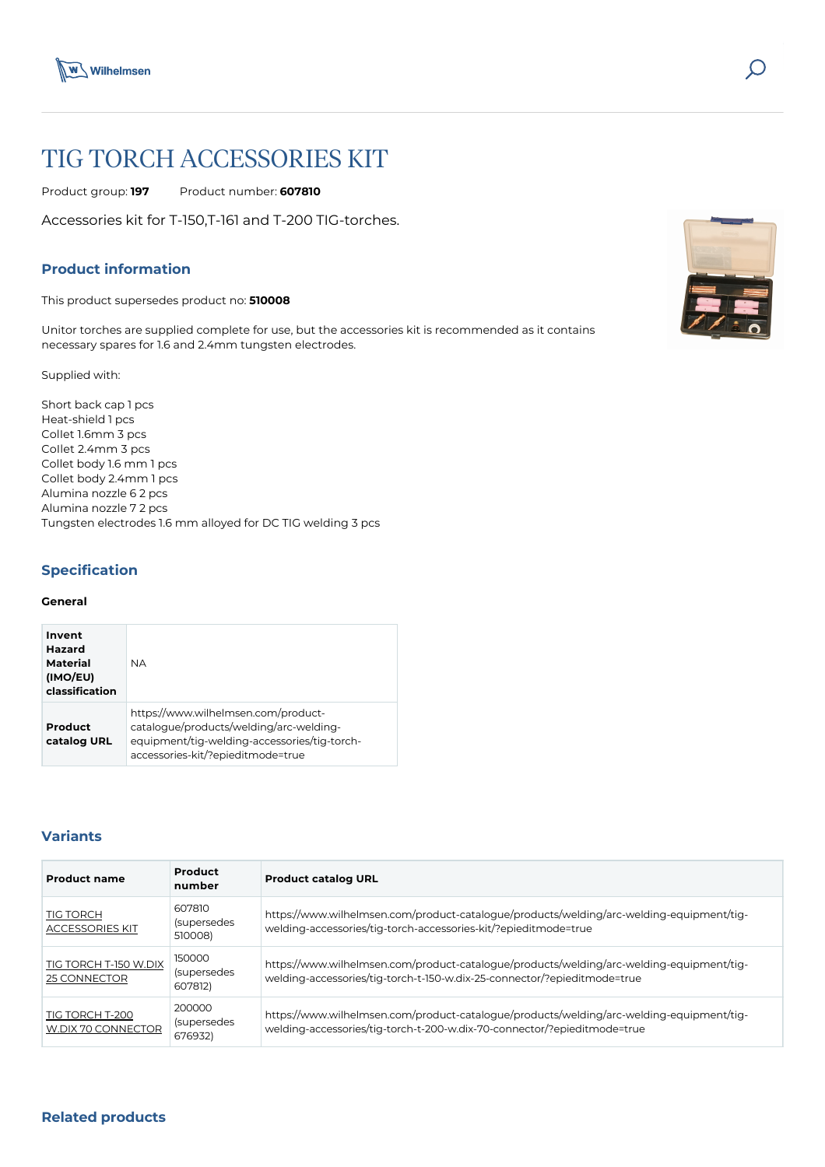



# TIG TORCH ACCESSORIES KIT

Product group: **197** Product number: **607810**

Accessories kit for T-150,T-161 and T-200 TIG-torches.

# **Product information**

This product supersedes product no: **510008**

Unitor torches are supplied complete for use, but the accessories kit is recommended as it contains necessary spares for 1.6 and 2.4mm tungsten electrodes.

Supplied with:

Short back cap 1 pcs Heat-shield 1 pcs ColIet 1.6mm 3 pcs CoIlet 2.4mm 3 pcs Collet body 1.6 mm 1 pcs Collet body 2.4mm 1 pcs Alumina nozzle 6 2 pcs Alumina nozzle 7 2 pcs Tungsten electrodes 1.6 mm alloyed for DC TIG welding 3 pcs

# **Specification**

#### **General**

| Invent<br>Hazard<br>Material<br>(IMO/EU)<br>classification | ΝA.                                                                                                                                                                 |
|------------------------------------------------------------|---------------------------------------------------------------------------------------------------------------------------------------------------------------------|
| Product<br>catalog URL                                     | https://www.wilhelmsen.com/product-<br>catalogue/products/welding/arc-welding-<br>equipment/tig-welding-accessories/tig-torch-<br>accessories-kit/?epieditmode=true |

## **Variants**

| <b>Product name</b>                        | Product<br>number                | <b>Product catalog URL</b>                                                                                                                                           |
|--------------------------------------------|----------------------------------|----------------------------------------------------------------------------------------------------------------------------------------------------------------------|
| <b>TIG TORCH</b><br><b>ACCESSORIES KIT</b> | 607810<br>(supersedes<br>510008) | https://www.wilhelmsen.com/product-catalogue/products/welding/arc-welding-equipment/tig-<br>welding-accessories/tig-torch-accessories-kit/?epieditmode=true          |
| TIG TORCH T-150 W.DIX<br>25 CONNECTOR      | 150000<br>(supersedes<br>607812) | https://www.wilhelmsen.com/product-catalogue/products/welding/arc-welding-equipment/tig-<br>welding-accessories/tig-torch-t-150-w.dix-25-connector/?epieditmode=true |
| TIG TORCH T-200<br>W.DIX 70 CONNECTOR      | 200000<br>(supersedes<br>676932) | https://www.wilhelmsen.com/product-catalogue/products/welding/arc-welding-equipment/tig-<br>welding-accessories/tig-torch-t-200-w.dix-70-connector/?epieditmode=true |